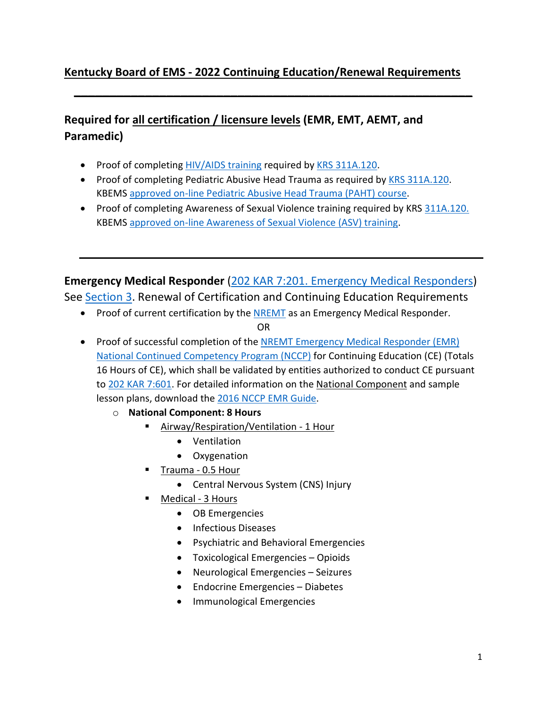### **Kentucky Board of EMS - 2022 Continuing Education/Renewal Requirements**

**\_\_\_\_\_\_\_\_\_\_\_\_\_\_\_\_\_\_\_\_\_\_\_\_\_\_\_\_\_\_\_\_\_\_\_\_\_\_\_\_\_\_\_\_\_\_\_\_\_\_\_\_\_\_\_\_**

## **Required for all certification / licensure levels (EMR, EMT, AEMT, and Paramedic)**

- Proof of completing [HIV/AIDS training](https://www.train.org/ky/admin/course/1100965/) required by [KRS 311A.120.](https://apps.legislature.ky.gov/law/statutes/statute.aspx?id=48800)
- Proof of completing Pediatric Abusive Head Trauma as required by [KRS 311A.120.](https://apps.legislature.ky.gov/law/statutes/statute.aspx?id=48800) KBEMS [approved on-line Pediatric Abusive Head Trauma \(PAHT\) course.](https://www.train.org/ky/course/1100193/)
- Proof of completing Awareness of Sexual Violence training required by KRS [311A.120.](https://apps.legislature.ky.gov/law/statutes/statute.aspx?id=48800)  KBEMS [approved on-line Awareness of Sexual Violence \(ASV\) training.](https://www.train.org/ky/course/1100193/)

**Emergency Medical Responder** [\(202 KAR 7:201. Emergency Medical Responders\)](https://apps.legislature.ky.gov/law/kar/titles/202/007/201/)

See [Section 3.](https://apps.legislature.ky.gov/law/kar/titles/202/007/201/) Renewal of Certification and Continuing Education Requirements

- Proof of current certification by the **NREMT** as an Emergency Medical Responder. OR
- Proof of successful completion of the [NREMT Emergency Medical Responder \(EMR\)](https://www.nremt.org/EMR/Recertification)  [National Continued Competency Program \(NCCP\)](https://www.nremt.org/EMR/Recertification) for Continuing Education (CE) (Totals 16 Hours of CE), which shall be validated by entities authorized to conduct CE pursuant to [202 KAR 7:601.](https://apps.legislature.ky.gov/law/kar/titles/202/007/601/) For detailed information on the National Component and sample lesson plans, download the [2016 NCCP EMR Guide.](https://www.nremt.org/CMSPages/GetAmazonFile.aspx?path=%7E%5Cstorage%5Cmedia%5Cnational-registry%5Cnremt-documents%5Cnccp-2016-emr-education-update.pdf&hash=35ccfc977955e3992ab9032acc140f87417d84f09dbd3620b7b8aa4db756ffbe)
	- o **National Component: 8 Hours**
		- Airway/Respiration/Ventilation 1 Hour
			- Ventilation
			- Oxygenation
		- Trauma 0.5 Hour
			- Central Nervous System (CNS) Injury
		- Medical 3 Hours
			- OB Emergencies
			- Infectious Diseases
			- Psychiatric and Behavioral Emergencies
			- Toxicological Emergencies Opioids
			- Neurological Emergencies Seizures
			- Endocrine Emergencies Diabetes
			- Immunological Emergencies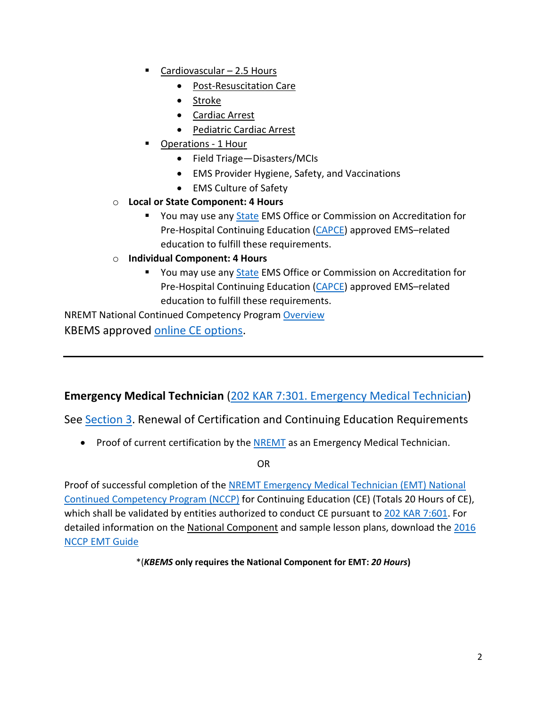- Cardiovascular 2.5 Hours
	- Post-Resuscitation Care
	- Stroke
	- Cardiac Arrest
	- Pediatric Cardiac Arrest
	- Operations 1 Hour
		- Field Triage—Disasters/MCIs
		- EMS Provider Hygiene, Safety, and Vaccinations
		- EMS Culture of Safety
- o **Local or State Component: 4 Hours**
	- You may use any [State](https://www.nremt.org/resources/state-ems-offices) EMS Office or Commission on Accreditation for Pre-Hospital Continuing Education [\(CAPCE\)](https://www.capce.org/) approved EMS–related education to fulfill these requirements.
- o **Individual Component: 4 Hours**
	- You may use any [State](https://www.nremt.org/resources/state-ems-offices) EMS Office or Commission on Accreditation for Pre-Hospital Continuing Education [\(CAPCE\)](https://www.capce.org/) approved EMS–related education to fulfill these requirements.

NREMT National Continued Competency Program [Overview](https://www.nremt.org/Document/nccp) KBEMS approved [online CE options.](https://kbems.kctcs.edu/education/continuing_education_requirements.aspx)

### **Emergency Medical Technician** [\(202 KAR 7:301. Emergency Medical Technician\)](https://apps.legislature.ky.gov/law/kar/titles/202/007/301/)

See [Section 3.](https://apps.legislature.ky.gov/law/kar/titles/202/007/301/) Renewal of Certification and Continuing Education Requirements

• Proof of current certification by th[e NREMT](https://www.nremt.org/) as an Emergency Medical Technician.

OR

Proof of successful completion of the [NREMT Emergency Medical Technician](https://www.nremt.org/EMT/Recertification) (EMT) National [Continued Competency Program \(NCCP\)](https://www.nremt.org/EMT/Recertification) for Continuing Education (CE) (Totals 20 Hours of CE), which shall be validated by entities authorized to conduct CE pursuant to [202 KAR 7:601.](https://apps.legislature.ky.gov/law/kar/titles/202/007/601/) For detailed information on the National Component and sample lesson plans, download the [2016](https://www.nremt.org/CMSPages/GetAmazonFile.aspx?path=%7E%5Cstorage%5Cmedia%5Cnational-registry%5Cnremt-documents%5Cnccp-2016-emt-education-update.pdf&hash=f0ba92e3fe30fdc59c07a657daa0529dee1b4b7336d7866cbb3d0b7b16e2947f)  [NCCP EMT Guide](https://www.nremt.org/CMSPages/GetAmazonFile.aspx?path=%7E%5Cstorage%5Cmedia%5Cnational-registry%5Cnremt-documents%5Cnccp-2016-emt-education-update.pdf&hash=f0ba92e3fe30fdc59c07a657daa0529dee1b4b7336d7866cbb3d0b7b16e2947f)

\*(*KBEMS* **only requires the National Component for EMT:** *20 Hours***)**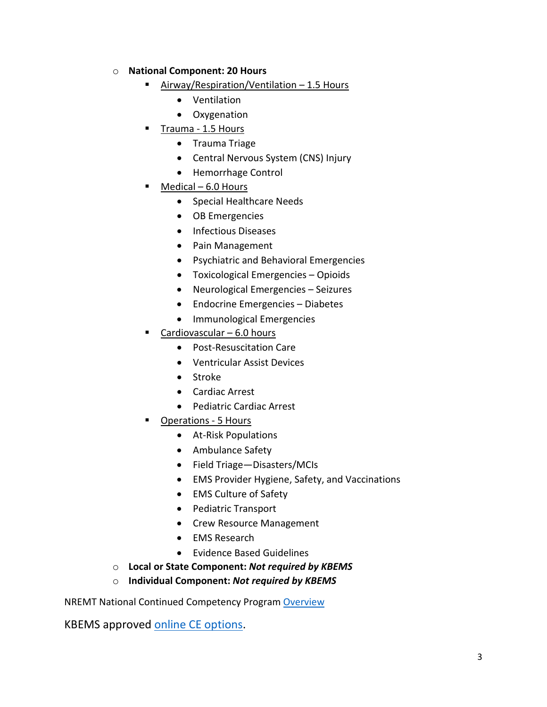#### o **National Component: 20 Hours**

- Airway/Respiration/Ventilation 1.5 Hours
	- Ventilation
	- Oxygenation
- Trauma 1.5 Hours
	- Trauma Triage
	- Central Nervous System (CNS) Injury
	- Hemorrhage Control
- Medical 6.0 Hours
	- Special Healthcare Needs
	- OB Emergencies
	- Infectious Diseases
	- Pain Management
	- Psychiatric and Behavioral Emergencies
	- Toxicological Emergencies Opioids
	- Neurological Emergencies Seizures
	- Endocrine Emergencies Diabetes
	- Immunological Emergencies
- Cardiovascular 6.0 hours
	- Post-Resuscitation Care
	- Ventricular Assist Devices
	- Stroke
	- Cardiac Arrest
	- Pediatric Cardiac Arrest
- Operations 5 Hours
	- At-Risk Populations
	- Ambulance Safety
	- Field Triage—Disasters/MCIs
	- EMS Provider Hygiene, Safety, and Vaccinations
	- EMS Culture of Safety
	- Pediatric Transport
	- Crew Resource Management
	- EMS Research
	- Evidence Based Guidelines
- o **Local or State Component:** *Not required by KBEMS*

#### o **Individual Component:** *Not required by KBEMS*

NREMT National Continued Competency Program [Overview](https://www.nremt.org/Document/nccp)

KBEMS approved [online CE options.](https://kbems.kctcs.edu/education/continuing_education_requirements.aspx)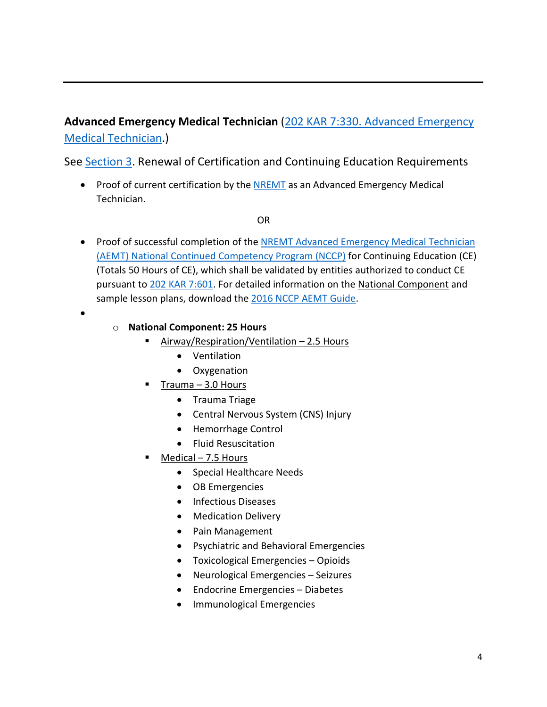# **Advanced Emergency Medical Technician** [\(202 KAR 7:330. Advanced](https://apps.legislature.ky.gov/law/kar/titles/202/007/330/) Emergency [Medical Technician.](https://apps.legislature.ky.gov/law/kar/titles/202/007/330/))

See [Section 3.](https://apps.legislature.ky.gov/law/kar/titles/202/007/330/) Renewal of Certification and Continuing Education Requirements

• Proof of current certification by the **NREMT** as an Advanced Emergency Medical Technician.

OR

• Proof of successful completion of the [NREMT Advanced Emergency Medical Technician](https://www.nremt.org/AEMT/Recertification) [\(AEMT\) National Continued Competency Program \(NCCP\)](https://www.nremt.org/AEMT/Recertification) for Continuing Education (CE) (Totals 50 Hours of CE), which shall be validated by entities authorized to conduct CE pursuant to [202 KAR 7:601.](https://apps.legislature.ky.gov/law/kar/titles/202/007/601/) For detailed information on the National Component and sample lesson plans, download the [2016 NCCP](https://nremt.org/CMSPages/GetAmazonFile.aspx?path=%7E%5Cstorage%5Cmedia%5Cnational-registry%5Cnremt-documents%5Cnccp-2016-aemt-education-update.pdf&hash=26672b4a861f68ee5fd731509de07778ede2ff02a265e74fa445524a0918963d) AEMT Guide.

•

- o **National Component: 25 Hours**
	- **EXTERNALIST Algority Algority Algority Algority Algority Property** 
		- Ventilation
		- Oxygenation
		- Trauma 3.0 Hours
			- Trauma Triage
			- Central Nervous System (CNS) Injury
			- Hemorrhage Control
			- Fluid Resuscitation
	- Medical 7.5 Hours
		- Special Healthcare Needs
		- OB Emergencies
		- Infectious Diseases
		- Medication Delivery
		- Pain Management
		- Psychiatric and Behavioral Emergencies
		- Toxicological Emergencies Opioids
		- Neurological Emergencies Seizures
		- Endocrine Emergencies Diabetes
		- Immunological Emergencies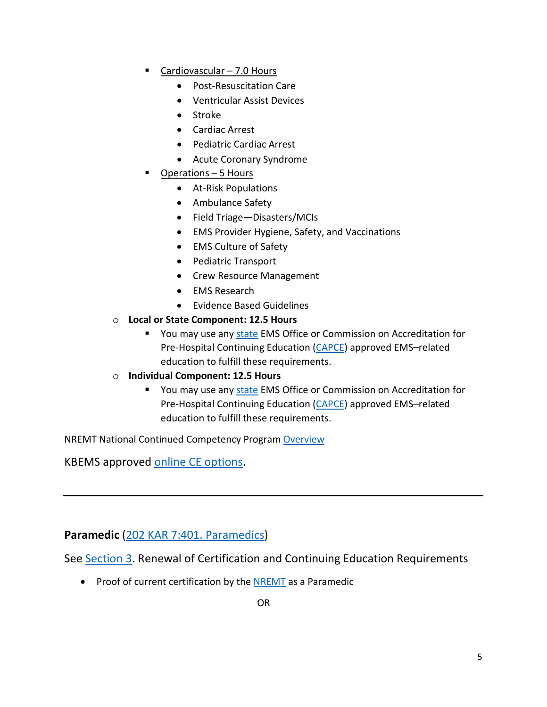- Cardiovascular 7.0 Hours
	- Post-Resuscitation Care
	- Ventricular Assist Devices
	- Stroke
	- Cardiac Arrest
	- Pediatric Cardiac Arrest
	- Acute Coronary Syndrome
- Operations 5 Hours
	- At-Risk Populations
	- Ambulance Safety
	- Field Triage—Disasters/MCIs
	- EMS Provider Hygiene, Safety, and Vaccinations
	- EMS Culture of Safety
	- Pediatric Transport
	- Crew Resource Management
	- EMS Research
	- Evidence Based Guidelines
- o **Local or State Component: 12.5 Hours**
	- You may use any [state](https://www.nremt.org/resources/state-ems-offices) EMS Office or Commission on Accreditation for Pre-Hospital Continuing Education [\(CAPCE\)](https://www.capce.org/) approved EMS–related education to fulfill these requirements.
- o **Individual Component: 12.5 Hours**
	- You may use any [state](https://www.nremt.org/resources/state-ems-offices) EMS Office or Commission on Accreditation for Pre-Hospital Continuing Education [\(CAPCE\)](https://www.capce.org/) approved EMS–related education to fulfill these requirements.

NREMT National Continued Competency Program [Overview](https://www.nremt.org/Document/nccp)

KBEMS approved [online CE options.](https://kbems.kctcs.edu/education/continuing_education_requirements.aspx)

**Paramedic** [\(202 KAR 7:401. Paramedics\)](https://apps.legislature.ky.gov/law/kar/titles/202/007/401/)

See [Section 3.](https://apps.legislature.ky.gov/law/kar/titles/202/007/401/) Renewal of Certification and Continuing Education Requirements

• Proof of current certification by th[e NREMT](https://www.nremt.org/) as a Paramedic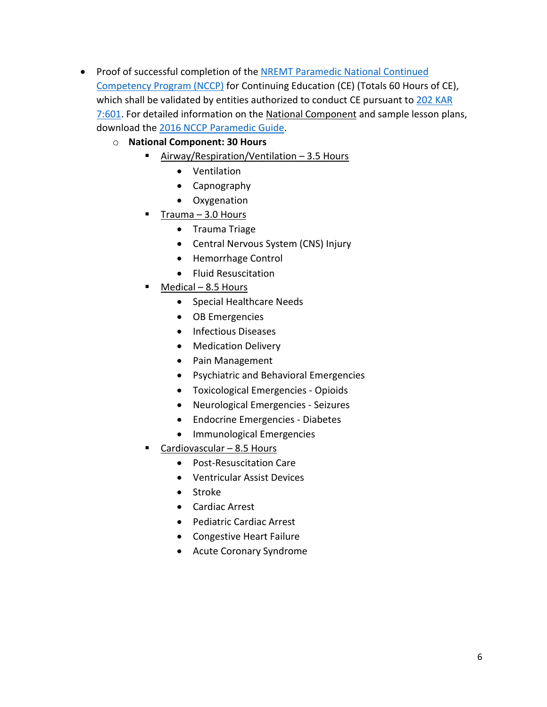- Proof of successful completion of the NREMT Paramedic [National Continued](https://www.nremt.org/paramedic/recertification)  [Competency Program \(NCCP\)](https://www.nremt.org/paramedic/recertification) for Continuing Education (CE) (Totals 60 Hours of CE), which shall be validated by entities authorized to conduct CE pursuant to 202 KAR [7:601.](https://apps.legislature.ky.gov/law/kar/titles/202/007/601/) For detailed information on the National Component and sample lesson plans, download the [2016 NCCP](https://nremt.org/CMSPages/GetAmazonFile.aspx?path=%7E%5Cstorage%5Cmedia%5Cnational-registry%5Cnremt-documents%5Cnccp-2016-nrp-education-update.pdf&hash=83b795d198a75732b35e1599eb317729fd030296bb66c097ce48b36118cda02a) Paramedic Guide.
	- o **National Component: 30 Hours**
		- Airway/Respiration/Ventilation 3.5 Hours
			- Ventilation
			- Capnography
			- Oxygenation
		- Trauma 3.0 Hours
			- Trauma Triage
			- Central Nervous System (CNS) Injury
			- Hemorrhage Control
			- Fluid Resuscitation
		- $Medical 8.5$  Hours
			- Special Healthcare Needs
			- OB Emergencies
			- Infectious Diseases
			- Medication Delivery
			- Pain Management
			- Psychiatric and Behavioral Emergencies
			- Toxicological Emergencies Opioids
			- Neurological Emergencies Seizures
			- Endocrine Emergencies Diabetes
			- Immunological Emergencies
		- Cardiovascular 8.5 Hours
			- Post-Resuscitation Care
			- Ventricular Assist Devices
			- Stroke
			- Cardiac Arrest
			- Pediatric Cardiac Arrest
			- Congestive Heart Failure
			- Acute Coronary Syndrome